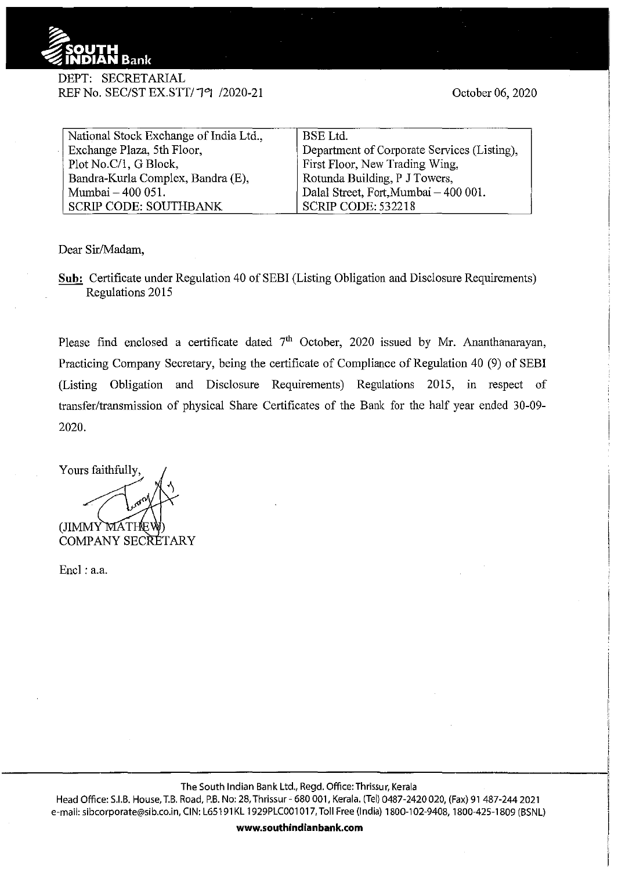

## DEPT: SECRETARJAL REF No. SEC/ST EX.STT/79 /2020-21

October 06, 2020

| National Stock Exchange of India Ltd., | <b>BSE</b> Ltd.                             |
|----------------------------------------|---------------------------------------------|
| Exchange Plaza, 5th Floor,             | Department of Corporate Services (Listing), |
| Plot No.C/1, G Block,                  | First Floor, New Trading Wing,              |
| Bandra-Kurla Complex, Bandra (E),      | Rotunda Building, P J Towers,               |
| Mumbai - 400 051.                      | Dalal Street, Fort, Mumbai - 400 001.       |
| <b>SCRIP CODE: SOUTHBANK</b>           | <b>SCRIP CODE: 532218</b>                   |

Dear Sir/Madam,

**Sub:** Certificate under Regulation 40 of SEBI (Listing Obligation and Disclosure Requirements) Regulations 2015

Please find enclosed a certificate dated  $7<sup>th</sup>$  October, 2020 issued by Mr. Ananthanarayan, Practicing Company Secretary, being the certificate of Compliance of Regulation 40 (9) of SEBI (Listing Obligation and Disclosure Requirements) Regulations 2015, in respect of transfer/transmission of physical Share Certificates of the Bank for the half year ended 30-09-2020.

Yours faithfully, (JIMMY MATHE COMPANY SECRETARY

Encl: a.a.